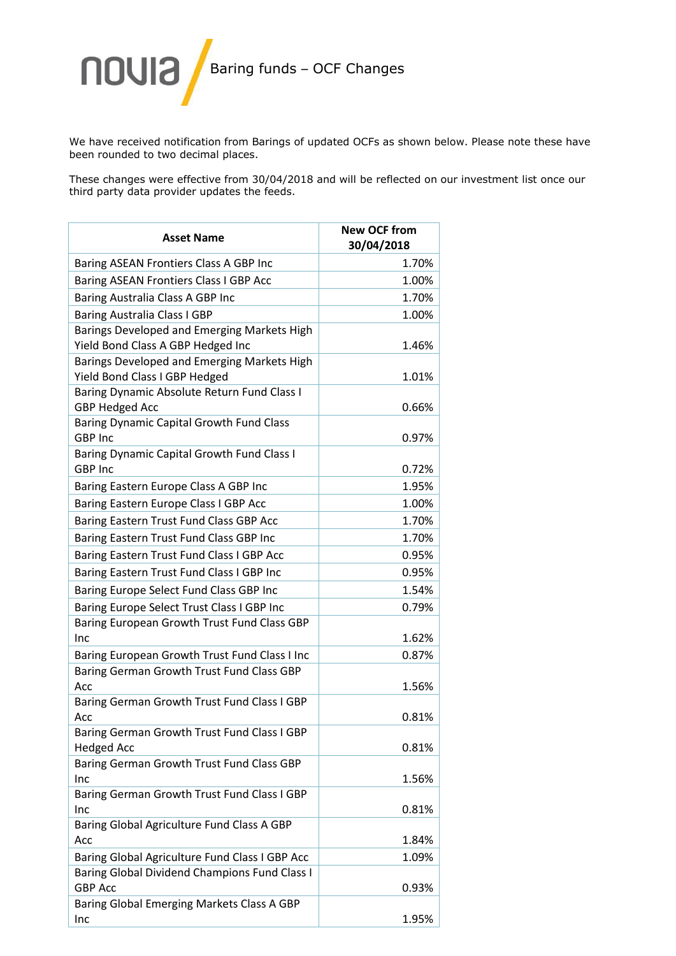**SIVON** 

We have received notification from Barings of updated OCFs as shown below. Please note these have been rounded to two decimal places.

These changes were effective from 30/04/2018 and will be reflected on our investment list once our third party data provider updates the feeds.

| <b>Asset Name</b>                                                                                             | <b>New OCF from</b><br>30/04/2018 |
|---------------------------------------------------------------------------------------------------------------|-----------------------------------|
| Baring ASEAN Frontiers Class A GBP Inc                                                                        | 1.70%                             |
| <b>Baring ASEAN Frontiers Class I GBP Acc</b>                                                                 | 1.00%                             |
| Baring Australia Class A GBP Inc                                                                              | 1.70%                             |
| <b>Baring Australia Class I GBP</b>                                                                           | 1.00%                             |
| Barings Developed and Emerging Markets High<br>Yield Bond Class A GBP Hedged Inc                              | 1.46%                             |
| Barings Developed and Emerging Markets High<br>Yield Bond Class I GBP Hedged                                  | 1.01%                             |
| Baring Dynamic Absolute Return Fund Class I<br><b>GBP Hedged Acc</b>                                          | 0.66%                             |
| Baring Dynamic Capital Growth Fund Class<br>GBP Inc                                                           | 0.97%                             |
| Baring Dynamic Capital Growth Fund Class I<br><b>GBP Inc</b>                                                  | 0.72%                             |
| Baring Eastern Europe Class A GBP Inc                                                                         | 1.95%                             |
| Baring Eastern Europe Class I GBP Acc                                                                         | 1.00%                             |
| Baring Eastern Trust Fund Class GBP Acc                                                                       | 1.70%                             |
| Baring Eastern Trust Fund Class GBP Inc                                                                       | 1.70%                             |
| Baring Eastern Trust Fund Class I GBP Acc                                                                     | 0.95%                             |
| Baring Eastern Trust Fund Class I GBP Inc                                                                     | 0.95%                             |
| Baring Europe Select Fund Class GBP Inc                                                                       | 1.54%                             |
| Baring Europe Select Trust Class I GBP Inc                                                                    | 0.79%                             |
| Baring European Growth Trust Fund Class GBP<br><b>Inc</b>                                                     | 1.62%                             |
| Baring European Growth Trust Fund Class I Inc<br>Baring German Growth Trust Fund Class GBP                    | 0.87%                             |
| Acc                                                                                                           | 1.56%                             |
| Baring German Growth Trust Fund Class I GBP<br>Acc                                                            | 0.81%                             |
| Baring German Growth Trust Fund Class I GBP<br><b>Hedged Acc</b>                                              | 0.81%                             |
| Baring German Growth Trust Fund Class GBP<br>Inc                                                              | 1.56%                             |
| Baring German Growth Trust Fund Class I GBP<br>Inc                                                            | 0.81%                             |
| Baring Global Agriculture Fund Class A GBP<br>Acc                                                             | 1.84%                             |
| Baring Global Agriculture Fund Class I GBP Acc                                                                | 1.09%                             |
| Baring Global Dividend Champions Fund Class I<br><b>GBP Acc</b><br>Baring Global Emerging Markets Class A GBP | 0.93%                             |
| Inc                                                                                                           | 1.95%                             |